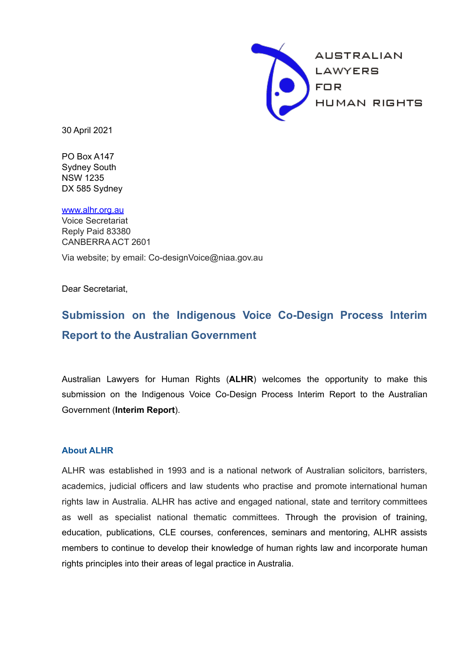

30 April 2021

 PO Box A147 DX 585 Sydney Sydney South NSW 1235

 Reply Paid 83380 CANBERRA ACT 2601 [www.alhr.org.au](http://www.alhr.asn.au/) Voice Secretariat

Via website; by email: Co-designVoice@niaa.gov.au

Dear Secretariat,

# **Report to the Australian Government Submission on the Indigenous Voice Co-Design Process Interim**

Australian Lawyers for Human Rights (**ALHR**) welcomes the opportunity to make this submission on the Indigenous Voice Co-Design Process Interim Report to the Australian Government (**Interim Report**).

#### **About ALHR**

 rights principles into their areas of legal practice in Australia. ALHR was established in 1993 and is a national network of Australian solicitors, barristers, academics, judicial officers and law students who practise and promote international human rights law in Australia. ALHR has active and engaged national, state and territory committees as well as specialist national thematic committees. Through the provision of training, education, publications, CLE courses, conferences, seminars and mentoring, ALHR assists members to continue to develop their knowledge of human rights law and incorporate human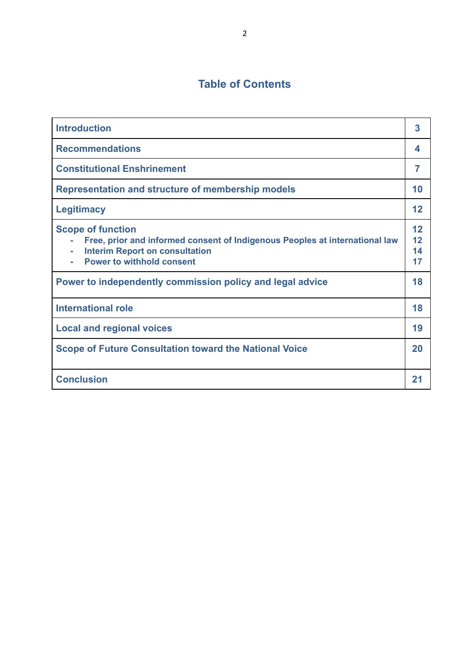# **Table of Contents**

| <b>Introduction</b>                                                                                                                                                                        | 3                    |
|--------------------------------------------------------------------------------------------------------------------------------------------------------------------------------------------|----------------------|
| <b>Recommendations</b>                                                                                                                                                                     | 4                    |
| <b>Constitutional Enshrinement</b>                                                                                                                                                         | 7                    |
| Representation and structure of membership models                                                                                                                                          | 10                   |
| <b>Legitimacy</b>                                                                                                                                                                          | 12                   |
| <b>Scope of function</b><br>Free, prior and informed consent of Indigenous Peoples at international law<br><b>Interim Report on consultation</b><br>÷.<br><b>Power to withhold consent</b> | 12<br>12<br>14<br>17 |
| Power to independently commission policy and legal advice                                                                                                                                  | 18                   |
| <b>International role</b>                                                                                                                                                                  | 18                   |
| <b>Local and regional voices</b>                                                                                                                                                           | 19                   |
| <b>Scope of Future Consultation toward the National Voice</b>                                                                                                                              | 20                   |
| <b>Conclusion</b>                                                                                                                                                                          | 21                   |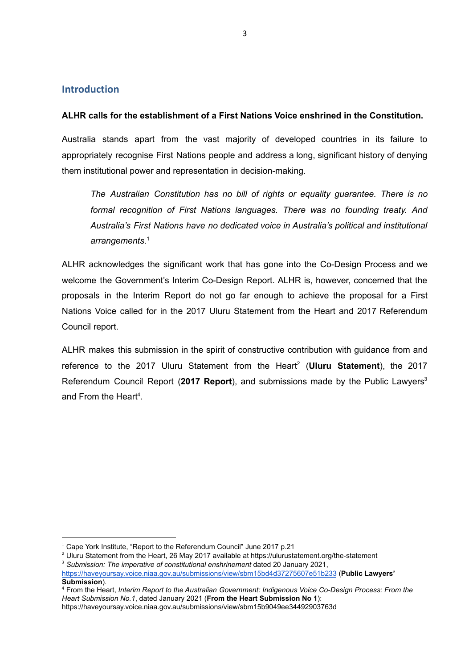#### **Introduction**

#### **ALHR calls for the establishment of a First Nations Voice enshrined in the Constitution.**

 them institutional power and representation in decision-making. Australia stands apart from the vast majority of developed countries in its failure to appropriately recognise First Nations people and address a long, significant history of denying

*The Australian Constitution has no bill of rights or equality guarantee. There is no formal recognition of First Nations languages. There was no founding treaty. And Australia's First Nations have no dedicated voice in Australia's political and institutional arrangements*. 1

ALHR acknowledges the significant work that has gone into the Co-Design Process and we welcome the Government's Interim Co-Design Report. ALHR is, however, concerned that the proposals in the Interim Report do not go far enough to achieve the proposal for a First Nations Voice called for in the 2017 Uluru Statement from the Heart and 2017 Referendum Council report.

and From the Heart<sup>4</sup>. ALHR makes this submission in the spirit of constructive contribution with guidance from and reference to the 2017 Uluru Statement from the Heart<sup>2</sup> (Uluru Statement), the 2017 Referendum Council Report (2017 Report), and submissions made by the Public Lawyers<sup>3</sup>

<sup>&</sup>lt;sup>1</sup> Cape York Institute, "Report to the Referendum Council" June 2017 p.21

<sup>&</sup>lt;sup>2</sup> Uluru Statement from the Heart, 26 May 2017 available at https://ulurustatement.org/the-statement

<sup>&</sup>lt;sup>3</sup> Submission: The imperative of constitutional enshrinement dated 20 January 2021,

<https://haveyoursay.voice.niaa.gov.au/submissions/view/sbm15bd4d37275607e51b233> (**Public Lawyers' Submission**).

<sup>4</sup> From the Heart, *Interim Report to the Australian Government: Indigenous Voice Co-Design Process: From the Heart Submission No.1*, dated January 2021 (**From the Heart Submission No 1**):

https://haveyoursay.voice.niaa.gov.au/submissions/view/sbm15b9049ee34492903763d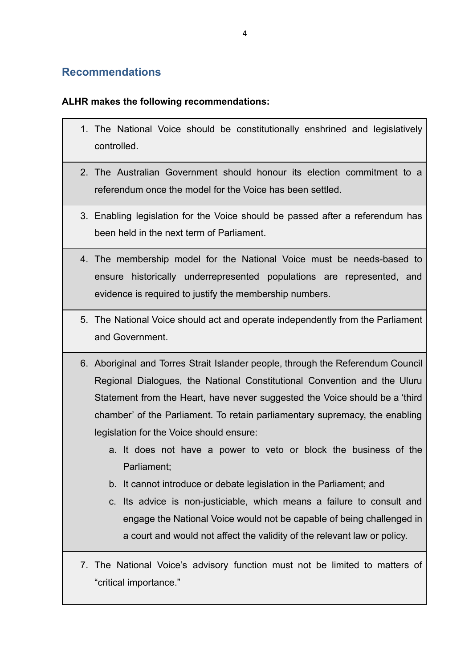# **Recommendations**

### **ALHR makes the following recommendations:**

- 1. The National Voice should be constitutionally enshrined and legislatively controlled.
- 2. The Australian Government should honour its election commitment to a referendum once the model for the Voice has been settled.
- 3. Enabling legislation for the Voice should be passed after a referendum has been held in the next term of Parliament.
- 4. The membership model for the National Voice must be needs-based to ensure historically underrepresented populations are represented, and evidence is required to justify the membership numbers.
- 5. The National Voice should act and operate independently from the Parliament and Government.
- 6. Aboriginal and Torres Strait Islander people, through the Referendum Council Regional Dialogues, the National Constitutional Convention and the Uluru Statement from the Heart, have never suggested the Voice should be a 'third chamber' of the Parliament. To retain parliamentary supremacy, the enabling legislation for the Voice should ensure:
	- a. It does not have a power to veto or block the business of the Parliament;
	- b. It cannot introduce or debate legislation in the Parliament; and
	- c. Its advice is non-justiciable, which means a failure to consult and engage the National Voice would not be capable of being challenged in a court and would not affect the validity of the relevant law or policy.
- 7. The National Voice's advisory function must not be limited to matters of "critical importance."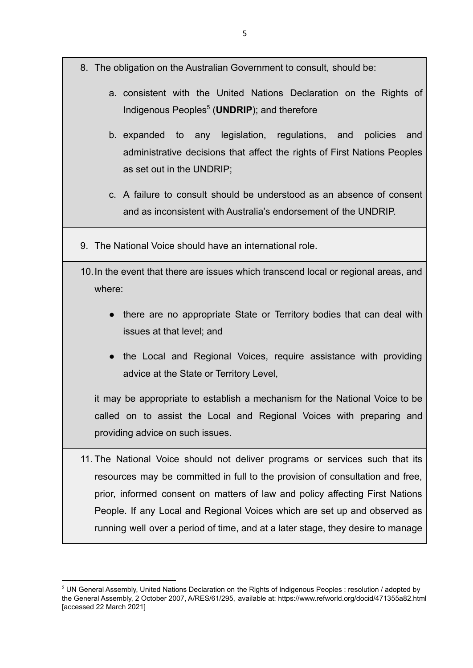- 8. The obligation on the Australian Government to consult, should be:
	- a. consistent with the United Nations Declaration on the Rights of Indigenous Peoples<sup>5</sup> (**UNDRIP**); and therefore
	- b. expanded to any legislation, regulations, and policies and administrative decisions that affect the rights of First Nations Peoples as set out in the UNDRIP;
	- c. A failure to consult should be understood as an absence of consent and as inconsistent with Australia's endorsement of the UNDRIP.
- 9. The National Voice should have an international role.
- 10.In the event that there are issues which transcend local or regional areas, and where:
	- there are no appropriate State or Territory bodies that can deal with issues at that level; and
	- the Local and Regional Voices, require assistance with providing advice at the State or Territory Level,

it may be appropriate to establish a mechanism for the National Voice to be called on to assist the Local and Regional Voices with preparing and providing advice on such issues.

11. The National Voice should not deliver programs or services such that its resources may be committed in full to the provision of consultation and free, prior, informed consent on matters of law and policy affecting First Nations People. If any Local and Regional Voices which are set up and observed as running well over a period of time, and at a later stage, they desire to manage

 $5$  UN General Assembly, United Nations Declaration on the Rights of Indigenous Peoples : resolution / adopted by the General Assembly, 2 October 2007, A/RES/61/295, available at: https://www.refworld.org/docid/471355a82.html [accessed 22 March 2021]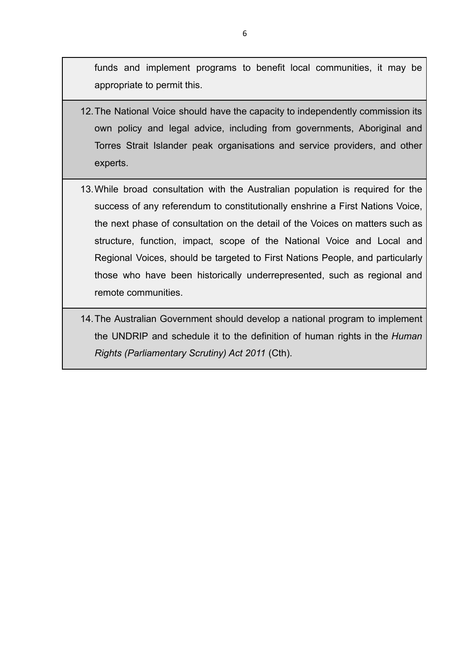funds and implement programs to benefit local communities, it may be appropriate to permit this.

- 12.The National Voice should have the capacity to independently commission its own policy and legal advice, including from governments, Aboriginal and Torres Strait Islander peak organisations and service providers, and other experts.
- 13.While broad consultation with the Australian population is required for the success of any referendum to constitutionally enshrine a First Nations Voice, the next phase of consultation on the detail of the Voices on matters such as structure, function, impact, scope of the National Voice and Local and Regional Voices, should be targeted to First Nations People, and particularly those who have been historically underrepresented, such as regional and remote communities.
- 14.The Australian Government should develop a national program to implement the UNDRIP and schedule it to the definition of human rights in the *Human Rights (Parliamentary Scrutiny) Act 2011* (Cth).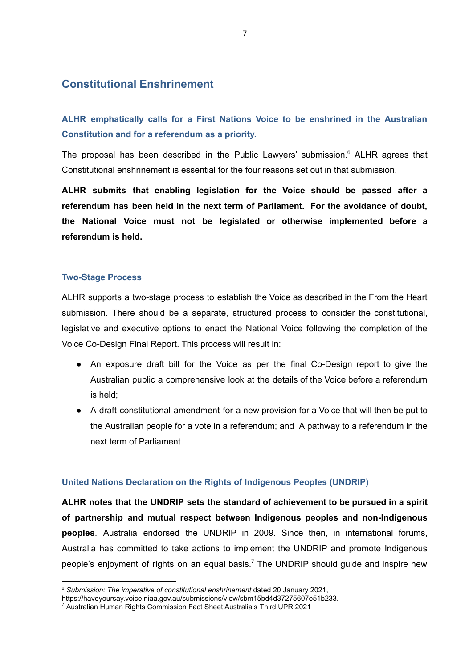# **Constitutional Enshrinement**

 **Constitution and for a referendum as a priority. ALHR emphatically calls for a First Nations Voice to be enshrined in the Australian** 

 Constitutional enshrinement is essential for the four reasons set out in that submission. The proposal has been described in the Public Lawyers' submission.<sup>6</sup> ALHR agrees that

 **referendum is held. ALHR submits that enabling legislation for the Voice should be passed after a referendum has been held in the next term of Parliament. For the avoidance of doubt, the National Voice must not be legislated or otherwise implemented before a** 

#### **Two-Stage Process**

 Voice Co-Design Final Report. This process will result in: ALHR supports a two-stage process to establish the Voice as described in the From the Heart submission. There should be a separate, structured process to consider the constitutional, legislative and executive options to enact the National Voice following the completion of the

- An exposure draft bill for the Voice as per the final Co-Design report to give the Australian public a comprehensive look at the details of the Voice before a referendum is held;
- next term of Parliament. ● A draft constitutional amendment for a new provision for a Voice that will then be put to the Australian people for a vote in a referendum; and A pathway to a referendum in the

#### **United Nations Declaration on the Rights of Indigenous Peoples (UNDRIP)**

**ALHR notes that the UNDRIP sets the standard of achievement to be pursued in a spirit of partnership and mutual respect between Indigenous peoples and non-Indigenous peoples**. Australia endorsed the UNDRIP in 2009. Since then, in international forums, Australia has committed to take actions to implement the UNDRIP and promote Indigenous people's enjoyment of rights on an equal basis.<sup>7</sup> The UNDRIP should guide and inspire new

<sup>6</sup>*Submission: The imperative of constitutional enshrinement* dated 20 January 2021,

https://haveyoursay.voice.niaa.gov.au/submissions/view/sbm15bd4d37275607e51b233.<br>7 Australian Human Rights Commission Fact Sheet Australia's Third UPR 2021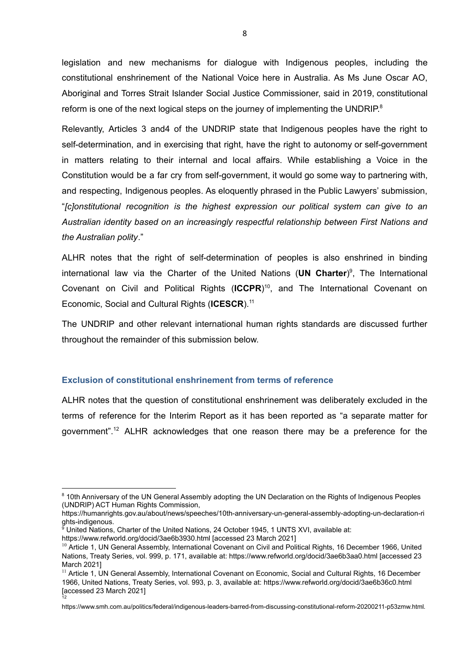reform is one of the next logical steps on the journey of implementing the UNDRIP. $8$ legislation and new mechanisms for dialogue with Indigenous peoples, including the constitutional enshrinement of the National Voice here in Australia. As Ms June Oscar AO, Aboriginal and Torres Strait Islander Social Justice Commissioner, said in 2019, constitutional

 *the Australian polity*." Relevantly, Articles 3 and4 of the UNDRIP state that Indigenous peoples have the right to self-determination, and in exercising that right, have the right to autonomy or self-government in matters relating to their internal and local affairs. While establishing a Voice in the Constitution would be a far cry from self-government, it would go some way to partnering with, and respecting, Indigenous peoples. As eloquently phrased in the Public Lawyers' submission, "*[c]onstitutional recognition is the highest expression our political system can give to an Australian identity based on an increasingly respectful relationship between First Nations and* 

 Economic, Social and Cultural Rights (**ICESCR**).11 ALHR notes that the right of self-determination of peoples is also enshrined in binding international law via the Charter of the United Nations (UN Charter)<sup>9</sup>, The International Covenant on Civil and Political Rights (**ICCPR**) 10 , and The International Covenant on

 throughout the remainder of this submission below. The UNDRIP and other relevant international human rights standards are discussed further

#### **Exclusion of constitutional enshrinement from terms of reference**

ALHR notes that the question of constitutional enshrinement was deliberately excluded in the terms of reference for the Interim Report as it has been reported as "a separate matter for government". 12 ALHR acknowledges that one reason there may be a preference for the

<sup>&</sup>lt;sup>8</sup> 10th Anniversary of the UN General Assembly adopting the UN Declaration on the Rights of Indigenous Peoples (UNDRIP) ACT Human Rights Commission,

https://humanrights.gov.au/about/news/speeches/10th-anniversary-un-general-assembly-adopting-un-declaration-ri ghts-indigenous. 

<sup>&</sup>lt;sup>9</sup> United Nations, Charter of the United Nations, 24 October 1945, 1 UNTS XVI, available at: https://www.refworld.org/docid/3ae6b3930.html [accessed 23 March 2021]

<sup>&</sup>lt;sup>10</sup> Article 1, UN General Assembly, International Covenant on Civil and Political Rights, 16 December 1966, United Nations, Treaty Series, vol. 999, p. 171, available at: https://www.refworld.org/docid/3ae6b3aa0.html [accessed 23 March 2021]

<sup>&</sup>lt;sup>11</sup> Article 1, UN General Assembly, International Covenant on Economic, Social and Cultural Rights, 16 December 1966, United Nations, Treaty Series, vol. 993, p. 3, available at: https://www.refworld.org/docid/3ae6b36c0.html [accessed 23 March 2021] 12

https://www.smh.com.au/politics/federal/indigenous-leaders-barred-from-discussing-constitutional-reform-20200211-p53zmw.html.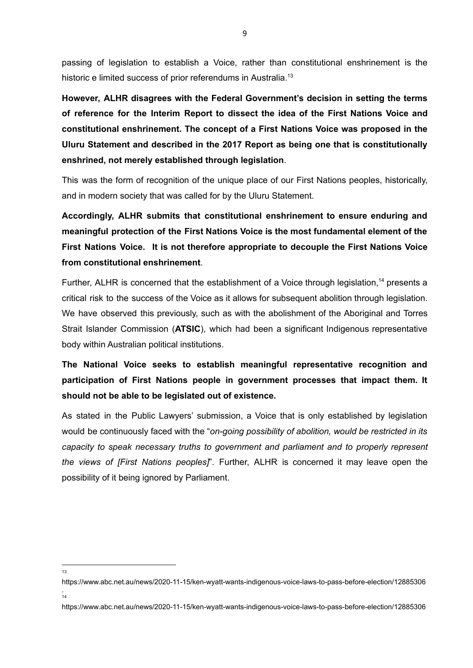historic e limited success of prior referendums in Australia.<sup>13</sup> passing of legislation to establish a Voice, rather than constitutional enshrinement is the

 **enshrined, not merely established through legislation**. **However, ALHR disagrees with the Federal Government's decision in setting the terms of reference for the Interim Report to dissect the idea of the First Nations Voice and constitutional enshrinement. The concept of a First Nations Voice was proposed in the Uluru Statement and described in the 2017 Report as being one that is constitutionally** 

 and in modern society that was called for by the Uluru Statement. This was the form of recognition of the unique place of our First Nations peoples, historically,

**Accordingly, ALHR submits that constitutional enshrinement to ensure enduring and meaningful protection of the First Nations Voice is the most fundamental element of the First Nations Voice. It is not therefore appropriate to decouple the First Nations Voice from constitutional enshrinement**.

 body within Australian political institutions. Further, ALHR is concerned that the establishment of a Voice through legislation,<sup>14</sup> presents a critical risk to the success of the Voice as it allows for subsequent abolition through legislation. We have observed this previously, such as with the abolishment of the Aboriginal and Torres Strait Islander Commission (**ATSIC**), which had been a significant Indigenous representative

 **should not be able to be legislated out of existence. The National Voice seeks to establish meaningful representative recognition and participation of First Nations people in government processes that impact them. It** 

 possibility of it being ignored by Parliament. As stated in the Public Lawyers' submission, a Voice that is only established by legislation would be continuously faced with the "*on-going possibility of abolition, would be restricted in its capacity to speak necessary truths to government and parliament and to properly represent the views of [First Nations peoples]*". Further, ALHR is concerned it may leave open the

13

https://www.abc.net.au/news/2020-11-15/ken-wyatt-wants-indigenous-voice-laws-to-pass-before-election/12885306 .<br>14

https://www.abc.net.au/news/2020-11-15/ken-wyatt-wants-indigenous-voice-laws-to-pass-before-election/12885306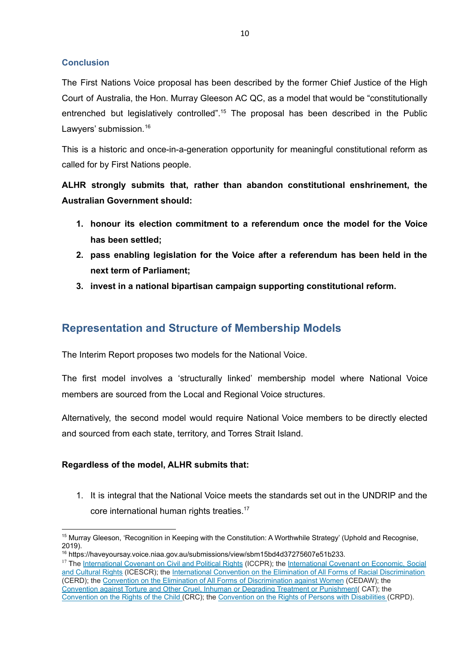#### **Conclusion**

The First Nations Voice proposal has been described by the former Chief Justice of the High Court of Australia, the Hon. Murray Gleeson AC QC, as a model that would be "constitutionally entrenched but legislatively controlled".<sup>15</sup> The proposal has been described in the Public Lawyers' submission.<sup>16</sup>

 called for by First Nations people. This is a historic and once-in-a-generation opportunity for meaningful constitutional reform as

**ALHR strongly submits that, rather than abandon constitutional enshrinement, the Australian Government should:** 

- **has been settled; 1. honour its election commitment to a referendum once the model for the Voice**
- **next term of Parliament; 2. pass enabling legislation for the Voice after a referendum has been held in the**
- **3. invest in a national bipartisan campaign supporting constitutional reform.**

# **Representation and Structure of Membership Models**

The Interim Report proposes two models for the National Voice.

 members are sourced from the Local and Regional Voice structures. The first model involves a 'structurally linked' membership model where National Voice

 and sourced from each state, territory, and Torres Strait Island. Alternatively, the second model would require National Voice members to be directly elected

### **Regardless of the model, ALHR submits that:**

core international human rights treaties.<sup>17</sup> 1. It is integral that the National Voice meets the standards set out in the UNDRIP and the

<sup>&</sup>lt;sup>15</sup> Murray Gleeson, 'Recognition in Keeping with the Constitution: A Worthwhile Strategy' (Uphold and Recognise, 2019).

<sup>16</sup> https://haveyoursay.voice.niaa.gov.au/submissions/view/sbm15bd4d37275607e51b233.

<sup>&</sup>lt;sup>17</sup> The [International Covenant on Civil and Political Rights](http://www.austlii.edu.au/au/other/dfat/treaties/1980/23.html) (ICCPR); the [International Covenant on Economic, Social](http://www.austlii.edu.au/au/other/dfat/treaties/1976/5.html) [and Cultural Rights](http://www.austlii.edu.au/au/other/dfat/treaties/1976/5.html) (ICESCR); the [International Convention on the Elimination of All Forms of Racial Discrimination](http://www.austlii.edu.au/au/other/dfat/treaties/1975/40.html) (CERD); the [Convention on the Elimination of All Forms of Discrimination against Women](http://www.austlii.edu.au/au/other/dfat/treaties/1983/9.html) (CEDAW); the [Convention against Torture and Other Cruel, Inhuman or Degrading Treatment or Punishment](http://www.austlii.edu.au/au/other/dfat/treaties/1989/21.html)( CAT); the [Convention on the Rights of the Child \(](http://www.austlii.edu.au/au/other/dfat/treaties/1991/4.html)CRC); the [Convention on the Rights of Persons with Disabilities](http://www.austlii.edu.au/au/other/dfat/treaties/2008/12.html) (CRPD).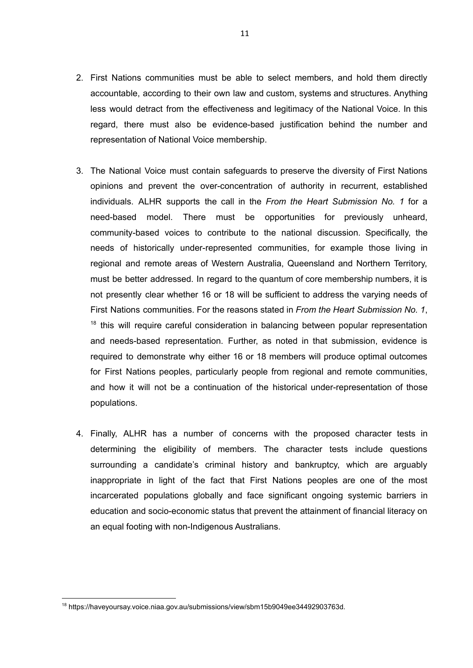- representation of National Voice membership. 2. First Nations communities must be able to select members, and hold them directly accountable, according to their own law and custom, systems and structures. Anything less would detract from the effectiveness and legitimacy of the National Voice. In this regard, there must also be evidence-based justification behind the number and
- 3. The National Voice must contain safeguards to preserve the diversity of First Nations opinions and prevent the over-concentration of authority in recurrent, established individuals. ALHR supports the call in the *From the Heart Submission No. 1* for a need-based model. There must be opportunities for previously unheard, community-based voices to contribute to the national discussion. Specifically, the needs of historically under-represented communities, for example those living in regional and remote areas of Western Australia, Queensland and Northern Territory, must be better addressed. In regard to the quantum of core membership numbers, it is not presently clear whether 16 or 18 will be sufficient to address the varying needs of First Nations communities. For the reasons stated in *From the Heart Submission No. 1*,  $18$  this will require careful consideration in balancing between popular representation and needs-based representation. Further, as noted in that submission, evidence is required to demonstrate why either 16 or 18 members will produce optimal outcomes for First Nations peoples, particularly people from regional and remote communities, and how it will not be a continuation of the historical under-representation of those populations.
- an equal footing with non-Indigenous Australians. 4. Finally, ALHR has a number of concerns with the proposed character tests in determining the eligibility of members. The character tests include questions surrounding a candidate's criminal history and bankruptcy, which are arguably inappropriate in light of the fact that First Nations peoples are one of the most incarcerated populations globally and face significant ongoing systemic barriers in education and socio-economic status that prevent the attainment of financial literacy on

<sup>18</sup> https://haveyoursay.voice.niaa.gov.au/submissions/view/sbm15b9049ee34492903763d.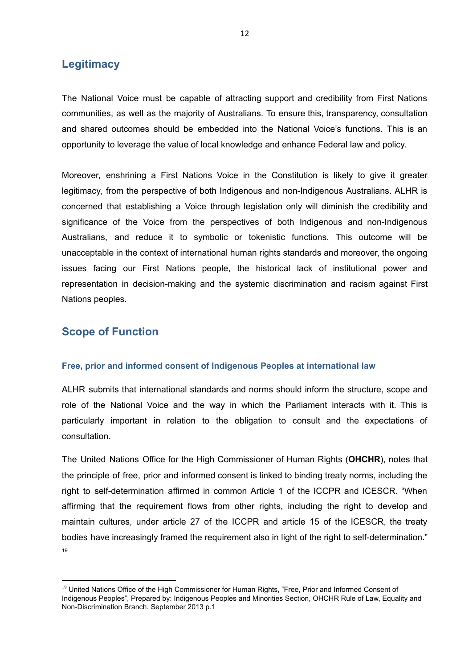### **Legitimacy**

 opportunity to leverage the value of local knowledge and enhance Federal law and policy. The National Voice must be capable of attracting support and credibility from First Nations communities, as well as the majority of Australians. To ensure this, transparency, consultation and shared outcomes should be embedded into the National Voice's functions. This is an

Moreover, enshrining a First Nations Voice in the Constitution is likely to give it greater legitimacy, from the perspective of both Indigenous and non-Indigenous Australians. ALHR is concerned that establishing a Voice through legislation only will diminish the credibility and significance of the Voice from the perspectives of both Indigenous and non-Indigenous Australians, and reduce it to symbolic or tokenistic functions. This outcome will be unacceptable in the context of international human rights standards and moreover, the ongoing issues facing our First Nations people, the historical lack of institutional power and representation in decision-making and the systemic discrimination and racism against First Nations peoples.

### **Scope of Function**

#### **Free, prior and informed consent of Indigenous Peoples at international law**

ALHR submits that international standards and norms should inform the structure, scope and role of the National Voice and the way in which the Parliament interacts with it. This is particularly important in relation to the obligation to consult and the expectations of consultation.

The United Nations Office for the High Commissioner of Human Rights (**OHCHR**), notes that the principle of free, prior and informed consent is linked to binding treaty norms, including the right to self-determination affirmed in common Article 1 of the ICCPR and ICESCR. "When affirming that the requirement flows from other rights, including the right to develop and maintain cultures, under article 27 of the ICCPR and article 15 of the ICESCR, the treaty bodies have increasingly framed the requirement also in light of the right to self-determination." 19

<sup>&</sup>lt;sup>19</sup> United Nations Office of the High Commissioner for Human Rights, "Free, Prior and Informed Consent of Indigenous Peoples", Prepared by: Indigenous Peoples and Minorities Section, OHCHR Rule of Law, Equality and Non-Discrimination Branch. September 2013 p.1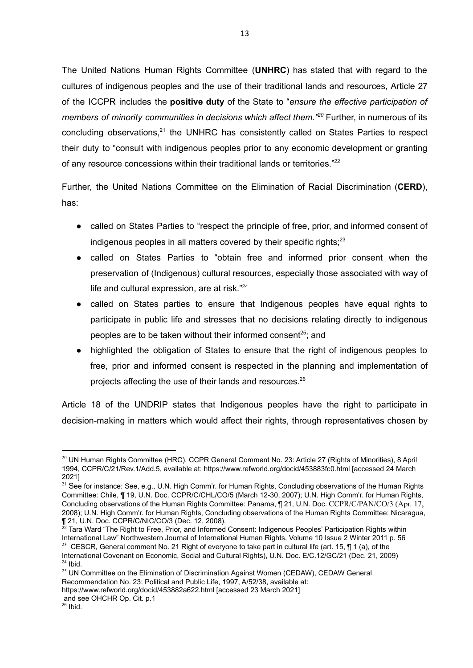of any resource concessions within their traditional lands or territories." $22$ The United Nations Human Rights Committee (**UNHRC**) has stated that with regard to the cultures of indigenous peoples and the use of their traditional lands and resources, Article 27 of the ICCPR includes the **positive duty** of the State to "*ensure the effective participation of members of minority communities in decisions which affect them.* "<sup>20</sup> Further, in numerous of its concluding observations.<sup>21</sup> the UNHRC has consistently called on States Parties to respect their duty to "consult with indigenous peoples prior to any economic development or granting

Further, the United Nations Committee on the Elimination of Racial Discrimination (**CERD**), has:

- indigenous peoples in all matters covered by their specific rights; $^{23}$ • called on States Parties to "respect the principle of free, prior, and informed consent of
- life and cultural expression, are at risk."<sup>24</sup> • called on States Parties to "obtain free and informed prior consent when the preservation of (Indigenous) cultural resources, especially those associated with way of
- peoples are to be taken without their informed consent<sup>25</sup>; and called on States parties to ensure that Indigenous peoples have equal rights to participate in public life and stresses that no decisions relating directly to indigenous
- projects affecting the use of their lands and resources.<sup>26</sup> ● highlighted the obligation of States to ensure that the right of indigenous peoples to free, prior and informed consent is respected in the planning and implementation of

Article 18 of the UNDRIP states that Indigenous peoples have the right to participate in decision-making in matters which would affect their rights, through representatives chosen by

 $^{22}$  Tara Ward "The Right to Free, Prior, and Informed Consent: Indigenous Peoples' Participation Rights within International Law" Northwestern Journal of International Human Rights, Volume 10 Issue 2 Winter 2011 p. 56 

https://www.refworld.org/docid/453882a622.html [accessed 23 March 2021] and see OHCHR Op. Cit. p.1

<sup>&</sup>lt;sup>20</sup> UN Human Rights Committee (HRC), CCPR General Comment No. 23: Article 27 (Rights of Minorities), 8 April 1994, CCPR/C/21/Rev.1/Add.5, available at: https://www.refworld.org/docid/453883fc0.html [accessed 24 March 2021]

 Concluding observations of the Human Rights Committee: Panama, ¶ 21, U.N. Doc. CCPR/C/PAN/CO/3 (Apr. 17, <sup>21</sup> See for instance: See, e.g., U.N. High Comm'r. for Human Rights, Concluding observations of the Human Rights Committee: Chile, ¶ 19, U.N. Doc. CCPR/C/CHL/CO/5 (March 12-30, 2007); U.N. High Comm'r. for Human Rights, 2008); U.N. High Comm'r. for Human Rights, Concluding observations of the Human Rights Committee: Nicaragua, ¶ 21, U.N. Doc. CCPR/C/NIC/CO/3 (Dec. 12, 2008). 

<sup>&</sup>lt;sup>23</sup> CESCR, General comment No. 21 Right of everyone to take part in cultural life (art. 15,  $\P$  1 (a), of the International Covenant on Economic, Social and Cultural Rights), U.N. Doc. E/C.12/GC/21 (Dec. 21, 2009)  $24$  Ibid.

<sup>&</sup>lt;sup>25</sup> UN Committee on the Elimination of Discrimination Against Women (CEDAW), CEDAW General Recommendation No. 23: Political and Public Life, 1997, A/52/38, available at:

 $26$  Ibid.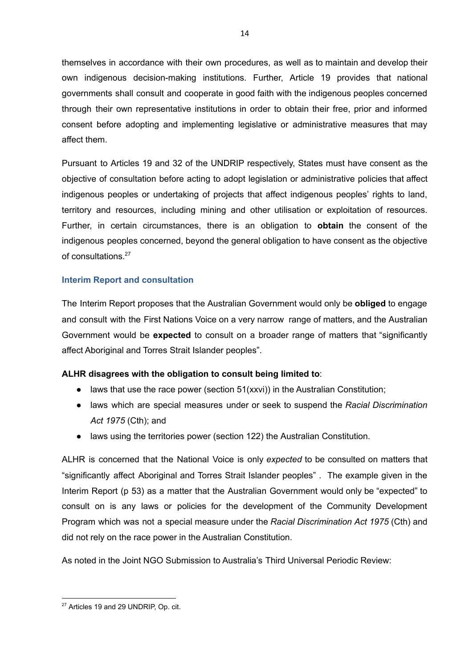themselves in accordance with their own procedures, as well as to maintain and develop their own indigenous decision-making institutions. Further, Article 19 provides that national governments shall consult and cooperate in good faith with the indigenous peoples concerned through their own representative institutions in order to obtain their free, prior and informed consent before adopting and implementing legislative or administrative measures that may affect them.

14

Pursuant to Articles 19 and 32 of the UNDRIP respectively, States must have consent as the objective of consultation before acting to adopt legislation or administrative policies that affect indigenous peoples or undertaking of projects that affect indigenous peoples' rights to land, territory and resources, including mining and other utilisation or exploitation of resources. Further, in certain circumstances, there is an obligation to **obtain** the consent of the indigenous peoples concerned, beyond the general obligation to have consent as the objective of consultations.27

#### **Interim Report and consultation**

 affect Aboriginal and Torres Strait Islander peoples". The Interim Report proposes that the Australian Government would only be **obliged** to engage and consult with the First Nations Voice on a very narrow range of matters, and the Australian Government would be **expected** to consult on a broader range of matters that "significantly

#### **ALHR disagrees with the obligation to consult being limited to**:

- $\bullet$  laws that use the race power (section 51(xxvi)) in the Australian Constitution;
- ● laws which are special measures under or seek to suspend the *Racial Discrimination Act 1975* (Cth); and
- laws using the territories power (section 122) the Australian Constitution.

 did not rely on the race power in the Australian Constitution. ALHR is concerned that the National Voice is only *expected* to be consulted on matters that "significantly affect Aboriginal and Torres Strait Islander peoples" . The example given in the Interim Report (p 53) as a matter that the Australian Government would only be "expected" to consult on is any laws or policies for the development of the Community Development Program which was not a special measure under the *Racial Discrimination Act 1975* (Cth) and

As noted in the Joint NGO Submission to Australia's Third Universal Periodic Review:

<sup>&</sup>lt;sup>27</sup> Articles 19 and 29 UNDRIP, Op. cit.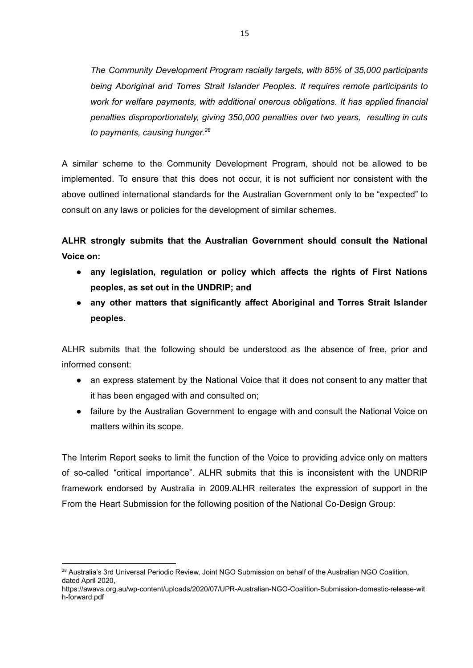*to payments, causing hunger.28 The Community Development Program racially targets, with 85% of 35,000 participants being Aboriginal and Torres Strait Islander Peoples. It requires remote participants to work for welfare payments, with additional onerous obligations. It has applied financial penalties disproportionately, giving 350,000 penalties over two years, resulting in cuts* 

 consult on any laws or policies for the development of similar schemes. A similar scheme to the Community Development Program, should not be allowed to be implemented. To ensure that this does not occur, it is not sufficient nor consistent with the above outlined international standards for the Australian Government only to be "expected" to

**ALHR strongly submits that the Australian Government should consult the National Voice on:** 

- **peoples, as set out in the UNDRIP; and ● any legislation, regulation or policy which affects the rights of First Nations**
- **● any other matters that significantly affect Aboriginal and Torres Strait Islander peoples.**

ALHR submits that the following should be understood as the absence of free, prior and informed consent:

- it has been engaged with and consulted on; • an express statement by the National Voice that it does not consent to any matter that
- matters within its scope. • failure by the Australian Government to engage with and consult the National Voice on

 From the Heart Submission for the following position of the National Co-Design Group: The Interim Report seeks to limit the function of the Voice to providing advice only on matters of so-called "critical importance". ALHR submits that this is inconsistent with the UNDRIP framework endorsed by Australia in 2009.ALHR reiterates the expression of support in the

<sup>&</sup>lt;sup>28</sup> Australia's 3rd Universal Periodic Review, Joint NGO Submission on behalf of the Australian NGO Coalition, dated April 2020,

https://awava.org.au/wp-content/uploads/2020/07/UPR-Australian-NGO-Coalition-Submission-domestic-release-wit h-forward.pdf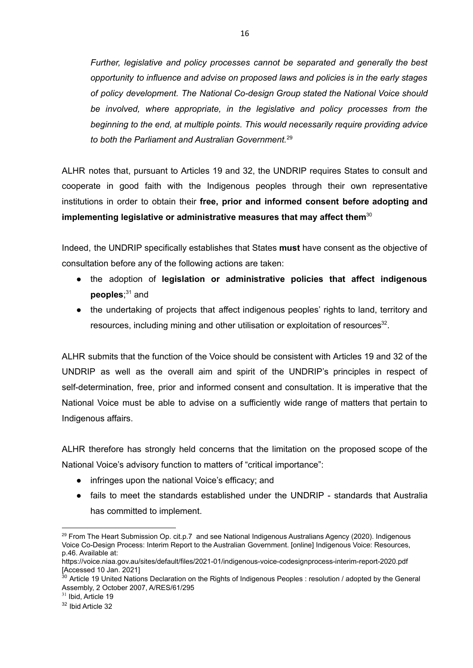*to both the Parliament and Australian Government.*<sup>29</sup> *Further, legislative and policy processes cannot be separated and generally the best opportunity to influence and advise on proposed laws and policies is in the early stages of policy development. The National Co-design Group stated the National Voice should be involved, where appropriate, in the legislative and policy processes from the beginning to the end, at multiple points. This would necessarily require providing advice* 

 **implementing legislative or administrative measures that may affect them**<sup>30</sup> ALHR notes that, pursuant to Articles 19 and 32, the UNDRIP requires States to consult and cooperate in good faith with the Indigenous peoples through their own representative institutions in order to obtain their **free, prior and informed consent before adopting and** 

 consultation before any of the following actions are taken: Indeed, the UNDRIP specifically establishes that States **must** have consent as the objective of

- **•** the adoption of legislation or administrative policies that affect indigenous **peoples**; 31 and
- resources, including mining and other utilisation or exploitation of resources<sup>32</sup>. • the undertaking of projects that affect indigenous peoples' rights to land, territory and

ALHR submits that the function of the Voice should be consistent with Articles 19 and 32 of the UNDRIP as well as the overall aim and spirit of the UNDRIP's principles in respect of self-determination, free, prior and informed consent and consultation. It is imperative that the National Voice must be able to advise on a sufficiently wide range of matters that pertain to Indigenous affairs.

 National Voice's advisory function to matters of "critical importance": ALHR therefore has strongly held concerns that the limitation on the proposed scope of the

- ● infringes upon the national Voice's efficacy; and
- has committed to implement. • fails to meet the standards established under the UNDRIP - standards that Australia

<sup>&</sup>lt;sup>29</sup> From The Heart Submission Op. cit.p.7 and see National Indigenous Australians Agency (2020). Indigenous Voice Co-Design Process: Interim Report to the Australian Government. [online] Indigenous Voice: Resources, p.46. Available at:

https://voice.niaa.gov.au/sites/default/files/2021-01/indigenous-voice-codesignprocess-interim-report-2020.pdf [Accessed 10 Jan. 2021]

<sup>&</sup>lt;sup>30</sup> Article 19 United Nations Declaration on the Rights of Indigenous Peoples : resolution / adopted by the General Assembly, 2 October 2007, A/RES/61/295<br>
<sup>31</sup> Ibid, Article 19

<sup>&</sup>lt;sup>32</sup> Ibid Article 32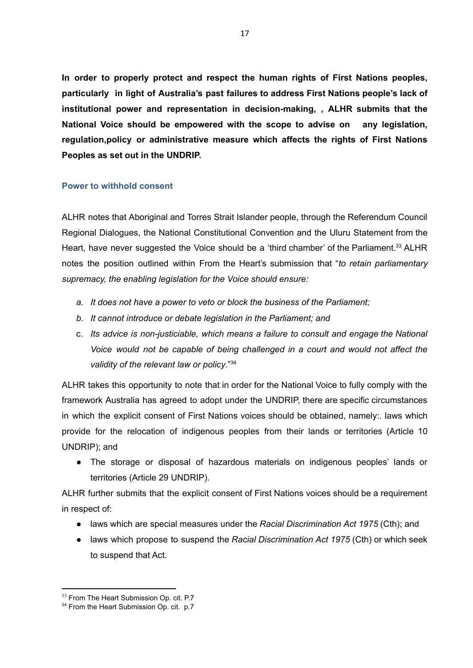**Peoples as set out in the UNDRIP. In order to properly protect and respect the human rights of First Nations peoples, particularly in light of Australia's past failures to address First Nations people's lack of institutional power and representation in decision-making, , ALHR submits that the National Voice should be empowered with the scope to advise on any legislation, regulation,policy or administrative measure which affects the rights of First Nations** 

#### **Power to withhold consent**

 *supremacy, the enabling legislation for the Voice should ensure:*  ALHR notes that Aboriginal and Torres Strait Islander people, through the Referendum Council Regional Dialogues, the National Constitutional Convention and the Uluru Statement from the Heart, have never suggested the Voice should be a 'third chamber' of the Parliament.<sup>33</sup> ALHR notes the position outlined within From the Heart's submission that "*to retain parliamentary* 

- *a. It does not have a power to veto or block the business of the Parliament;*
- *b. It cannot introduce or debate legislation in the Parliament; and*
- *validity of the relevant law or policy*."34 c. *Its advice is non-justiciable, which means a failure to consult and engage the National Voice would not be capable of being challenged in a court and would not affect the*

ALHR takes this opportunity to note that in order for the National Voice to fully comply with the framework Australia has agreed to adopt under the UNDRIP, there are specific circumstances in which the explicit consent of First Nations voices should be obtained, namely:. laws which provide for the relocation of indigenous peoples from their lands or territories (Article 10 UNDRIP); and

 territories (Article 29 UNDRIP). • The storage or disposal of hazardous materials on indigenous peoples' lands or

 in respect of: ALHR further submits that the explicit consent of First Nations voices should be a requirement

- **•** laws which are special measures under the *Racial Discrimination Act 1975* (Cth); and
- to suspend that Act. ● laws which propose to suspend the *Racial Discrimination Act 1975* (Cth) or which seek

 $33$  From The Heart Submission Op. cit. P.7<br> $34$  From the Heart Submission Op. cit. p.7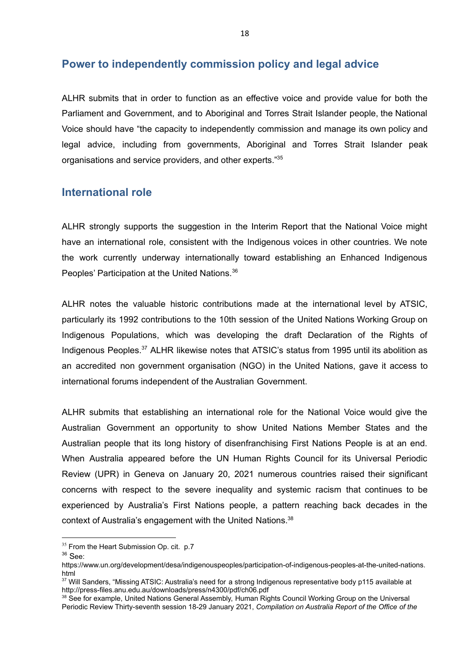# **Power to independently commission policy and legal advice**

organisations and service providers, and other experts."<sup>35</sup> ALHR submits that in order to function as an effective voice and provide value for both the Parliament and Government, and to Aboriginal and Torres Strait Islander people, the National Voice should have "the capacity to independently commission and manage its own policy and legal advice, including from governments, Aboriginal and Torres Strait Islander peak

### **International role**

Peoples' Participation at the United Nations.<sup>36</sup> ALHR strongly supports the suggestion in the Interim Report that the National Voice might have an international role, consistent with the Indigenous voices in other countries. We note the work currently underway internationally toward establishing an Enhanced Indigenous

 international forums independent of the Australian Government. ALHR notes the valuable historic contributions made at the international level by ATSIC, particularly its 1992 contributions to the 10th session of the United Nations Working Group on Indigenous Populations, which was developing the draft Declaration of the Rights of Indigenous Peoples.37 ALHR likewise notes that ATSIC's status from 1995 until its abolition as an accredited non government organisation (NGO) in the United Nations, gave it access to

context of Australia's engagement with the United Nations.<sup>38</sup> ALHR submits that establishing an international role for the National Voice would give the Australian Government an opportunity to show United Nations Member States and the Australian people that its long history of disenfranchising First Nations People is at an end. When Australia appeared before the UN Human Rights Council for its Universal Periodic Review (UPR) in Geneva on January 20, 2021 numerous countries raised their significant concerns with respect to the severe inequality and systemic racism that continues to be experienced by Australia's First Nations people, a pattern reaching back decades in the

<sup>&</sup>lt;sup>35</sup> From the Heart Submission Op. cit. p.7

<sup>36</sup> See:

https://www.un.org/development/desa/indigenouspeoples/participation-of-indigenous-peoples-at-the-united-nations. html

 $37$  Will Sanders, "Missing ATSIC: Australia's need for a strong Indigenous representative body p115 available at http://press-files.anu.edu.au/downloads/press/n4300/pdf/ch06.pdf

<sup>&</sup>lt;sup>38</sup> See for example, United Nations General Assembly, Human Rights Council Working Group on the Universal Periodic Review Thirty-seventh session 18-29 January 2021, *Compilation on Australia Report of the Office of the*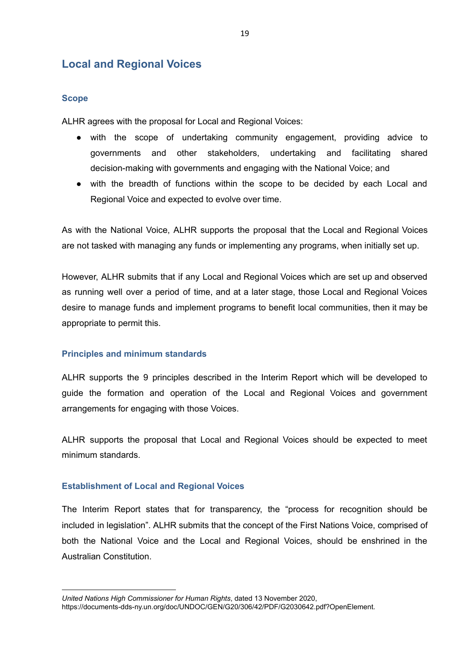# **Local and Regional Voices**

#### **Scope**

ALHR agrees with the proposal for Local and Regional Voices:

- decision-making with governments and engaging with the National Voice; and • with the scope of undertaking community engagement, providing advice to governments and other stakeholders, undertaking and facilitating shared
- Regional Voice and expected to evolve over time. • with the breadth of functions within the scope to be decided by each Local and

 are not tasked with managing any funds or implementing any programs, when initially set up. As with the National Voice, ALHR supports the proposal that the Local and Regional Voices

 appropriate to permit this. However, ALHR submits that if any Local and Regional Voices which are set up and observed as running well over a period of time, and at a later stage, those Local and Regional Voices desire to manage funds and implement programs to benefit local communities, then it may be

#### **Principles and minimum standards**

 arrangements for engaging with those Voices. ALHR supports the 9 principles described in the Interim Report which will be developed to guide the formation and operation of the Local and Regional Voices and government

ALHR supports the proposal that Local and Regional Voices should be expected to meet minimum standards.

#### **Establishment of Local and Regional Voices**

The Interim Report states that for transparency, the "process for recognition should be included in legislation". ALHR submits that the concept of the First Nations Voice, comprised of both the National Voice and the Local and Regional Voices, should be enshrined in the Australian Constitution.

*United Nations High Commissioner for Human Rights*, dated 13 November 2020,

https://documents-dds-ny.un.org/doc/UNDOC/GEN/G20/306/42/PDF/G2030642.pdf?OpenElement.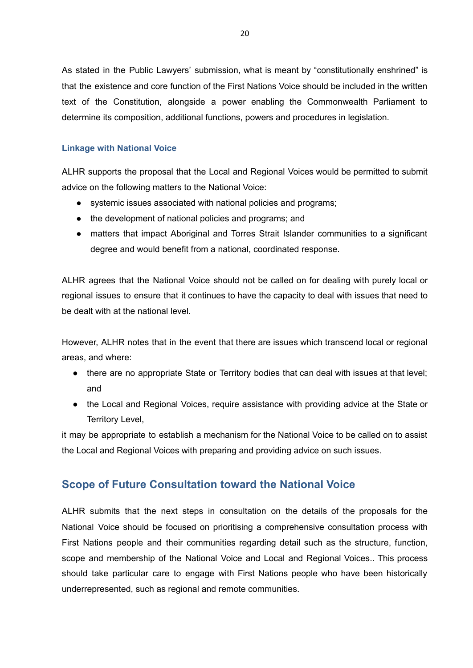determine its composition, additional functions, powers and procedures in legislation. As stated in the Public Lawyers' submission, what is meant by "constitutionally enshrined" is that the existence and core function of the First Nations Voice should be included in the written text of the Constitution, alongside a power enabling the Commonwealth Parliament to

#### **Linkage with National Voice**

 advice on the following matters to the National Voice: ALHR supports the proposal that the Local and Regional Voices would be permitted to submit

- systemic issues associated with national policies and programs;
- the development of national policies and programs; and
- degree and would benefit from a national, coordinated response. • matters that impact Aboriginal and Torres Strait Islander communities to a significant

 be dealt with at the national level. ALHR agrees that the National Voice should not be called on for dealing with purely local or regional issues to ensure that it continues to have the capacity to deal with issues that need to

 areas, and where: However, ALHR notes that in the event that there are issues which transcend local or regional

- there are no appropriate State or Territory bodies that can deal with issues at that level; and
- the Local and Regional Voices, require assistance with providing advice at the State or Territory Level,

 the Local and Regional Voices with preparing and providing advice on such issues. it may be appropriate to establish a mechanism for the National Voice to be called on to assist

# **Scope of Future Consultation toward the National Voice**

 underrepresented, such as regional and remote communities. ALHR submits that the next steps in consultation on the details of the proposals for the National Voice should be focused on prioritising a comprehensive consultation process with First Nations people and their communities regarding detail such as the structure, function, scope and membership of the National Voice and Local and Regional Voices.. This process should take particular care to engage with First Nations people who have been historically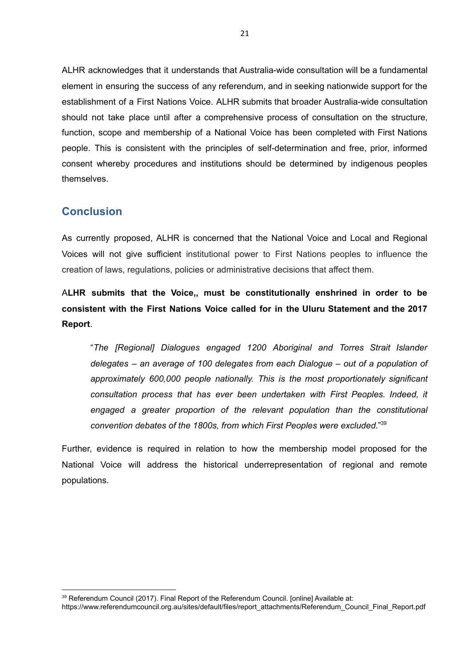ALHR acknowledges that it understands that Australia-wide consultation will be a fundamental element in ensuring the success of any referendum, and in seeking nationwide support for the establishment of a First Nations Voice. ALHR submits that broader Australia-wide consultation should not take place until after a comprehensive process of consultation on the structure, function, scope and membership of a National Voice has been completed with First Nations people. This is consistent with the principles of self-determination and free, prior, informed consent whereby procedures and institutions should be determined by indigenous peoples themselves.

### **Conclusion**

 creation of laws, regulations, policies or administrative decisions that affect them. As currently proposed, ALHR is concerned that the National Voice and Local and Regional Voices will not give sufficient institutional power to First Nations peoples to influence the

A**LHR submits that the Voice,, must be constitutionally enshrined in order to be consistent with the First Nations Voice called for in the Uluru Statement and the 2017 Report**.

 *convention debates of the 1800s, from which First Peoples were excluded*."39 "*The [Regional] Dialogues engaged 1200 Aboriginal and Torres Strait Islander delegates – an average of 100 delegates from each Dialogue – out of a population of approximately 600,000 people nationally. This is the most proportionately significant consultation process that has ever been undertaken with First Peoples. Indeed, it*  engaged a greater proportion of the relevant population than the constitutional

Further, evidence is required in relation to how the membership model proposed for the National Voice will address the historical underrepresentation of regional and remote populations.

<sup>&</sup>lt;sup>39</sup> Referendum Council (2017). Final Report of the Referendum Council. [online] Available at:

https://www.referendumcouncil.org.au/sites/default/files/report\_attachments/Referendum\_Council\_Final\_Report.pdf